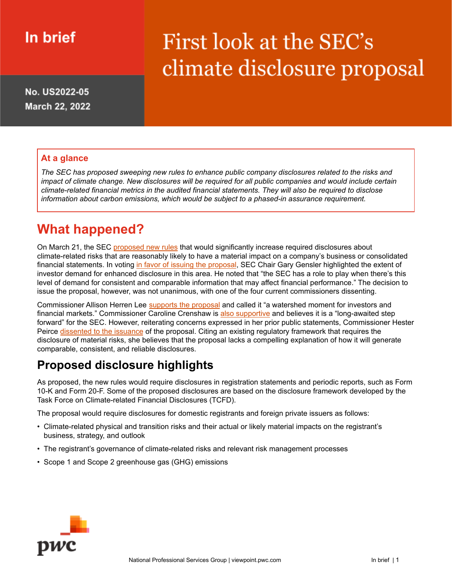# In brief

# First look at the SEC's climate disclosure proposal

No. US2022-05 March 22, 2022

#### **At a glance**

*The SEC has proposed sweeping new rules to enhance public company disclosures related to the risks and* impact of climate change. New disclosures will be required for all public companies and would include certain *climate-related financial metrics in the audited financial statements. They will also be required to disclose information about carbon emissions, which would be subject to a phased-in assurance requirement.*

## **What happened?**

On March 21, the SEC [proposed](https://www.sec.gov/news/press-release/2022-46) new rules that would significantly increase required disclosures about climate-related risks that are reasonably likely to have a material impact on a company's business or consolidated financial statements. In voting in favor of issuing the [proposal](https://www.sec.gov/news/statement/gensler-climate-disclosure-20220321), SEC Chair Gary Gensler highlighted the extent of investor demand for enhanced disclosure in this area. He noted that "the SEC has a role to play when there's this level of demand for consistent and comparable information that may affect financial performance." The decision to issue the proposal, however, was not unanimous, with one of the four current commissioners dissenting.

Commissioner Allison Herren Lee [supports](https://www.sec.gov/news/statement/lee-climate-disclosure-20220321) the proposal and called it "a watershed moment for investors and financial markets." Commissioner Caroline Crenshaw is also [supportive](https://www.sec.gov/news/statement/crenshaw-climate-statement-032122) and believes it is a "long-awaited step forward" for the SEC. However, reiterating concerns expressed in her prior public statements, Commissioner Hester Peirce [dissented](https://www.sec.gov/news/statement/peirce-climate-disclosure-20220321) to the issuance of the proposal. Citing an existing regulatory framework that requires the disclosure of material risks, she believes that the proposal lacks a compelling explanation of how it will generate comparable, consistent, and reliable disclosures.

### **Proposed disclosure highlights**

As proposed, the new rules would require disclosures in registration statements and periodic reports, such as Form 10-K and Form 20-F. Some of the proposed disclosures are based on the disclosure framework developed by the Task Force on Climate-related Financial Disclosures (TCFD).

The proposal would require disclosures for domestic registrants and foreign private issuers as follows:

- Climate-related physical and transition risks and their actual or likely material impacts on the registrant's business, strategy, and outlook
- The registrant's governance of climate-related risks and relevant risk management processes
- Scope 1 and Scope 2 greenhouse gas (GHG) emissions

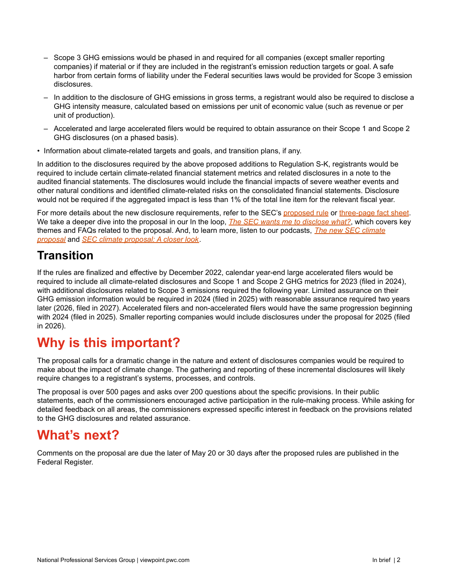- ‒ Scope 3 GHG emissions would be phased in and required for all companies (except smaller reporting companies) if material or if they are included in the registrant's emission reduction targets or goal. A safe harbor from certain forms of liability under the Federal securities laws would be provided for Scope 3 emission disclosures.
- ‒ In addition to the disclosure of GHG emissions in gross terms, a registrant would also be required to disclose a GHG intensity measure, calculated based on emissions per unit of economic value (such as revenue or per unit of production).
- ‒ Accelerated and large accelerated filers would be required to obtain assurance on their Scope 1 and Scope 2 GHG disclosures (on a phased basis).
- Information about climate-related targets and goals, and transition plans, if any.

In addition to the disclosures required by the above proposed additions to Regulation S-K, registrants would be required to include certain climate-related financial statement metrics and related disclosures in a note to the audited financial statements. The disclosures would include the financial impacts of severe weather events and other natural conditions and identified climate-related risks on the consolidated financial statements. Disclosure would not be required if the aggregated impact is less than 1% of the total line item for the relevant fiscal year.

For more details about the new disclosure requirements, refer to the SEC's [proposed](https://www.sec.gov/rules/proposed/2022/33-11042.pdf) rule or [three-page](https://www.sec.gov/files/33-11042-fact-sheet.pdf) fact sheet. We take a deeper dive into the proposal in our In the loop, *The SEC wants me to [disclose](https://viewpoint.pwc.com/dt/us/en/pwc/in_the_loop/in_the_loop_US/secclimateproposal.html) what?*, which [covers](https://www.sec.gov/files/33-11042-fact-sheet.pdf) key themes and FAQs related to the proposal. And, to learn more, listen to our podcasts, *The new SEC [climate](https://viewpoint.pwc.com/dt/us/en/pwc/podcasts/podcasts_US/secclimateproposal.html) [proposal](https://viewpoint.pwc.com/dt/us/en/pwc/podcasts/podcasts_US/secclimateproposal.html)* and *SEC climate [proposal:](https://viewpoint.pwc.com/dt/us/en/pwc/podcasts/podcasts_US/secclimateproposalacloserlook.html) A closer look*.

#### **Transition**

If the rules are finalized and effective by December 2022, calendar year-end large accelerated filers would be required to include all climate-related disclosures and Scope 1 and Scope 2 GHG metrics for 2023 (filed in 2024), with additional disclosures related to Scope 3 emissions required the following year. Limited assurance on their GHG emission information would be required in 2024 (filed in 2025) with reasonable assurance required two years later (2026, filed in 2027). Accelerated filers and non-accelerated filers would have the same progression beginning with 2024 (filed in 2025). Smaller reporting companies would include disclosures under the proposal for 2025 (filed in 2026).

## **Why is this important?**

The proposal calls for a dramatic change in the nature and extent of disclosures companies would be required to make about the impact of climate change. The gathering and reporting of these incremental disclosures will likely require changes to a registrant's systems, processes, and controls.

The proposal is over 500 pages and asks over 200 questions about the specific provisions. In their public statements, each of the commissioners encouraged active participation in the rule-making process. While asking for detailed feedback on all areas, the commissioners expressed specific interest in feedback on the provisions related to the GHG disclosures and related assurance.

### **What's next?**

Comments on the proposal are due the later of May 20 or 30 days after the proposed rules are published in the Federal Register.